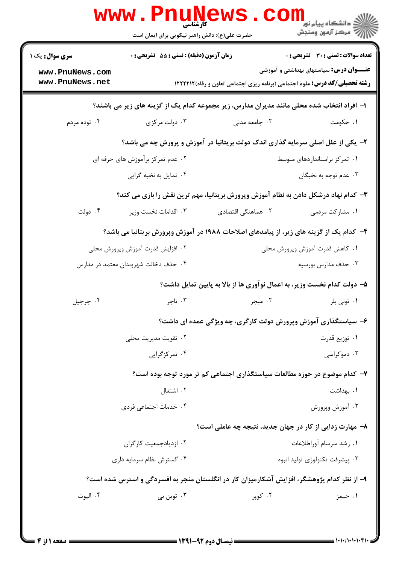|                                                                                            | <b>www.PnuM</b><br><b>کارشناسی</b><br>حضرت علی(ع): دانش راهبر نیکویی برای ایمان است | <b>LEWS</b>                                                                                | ري دانشگاه پيام نور<br>ا <mark>ر</mark> دانشگاه پيام نور<br>ار |  |
|--------------------------------------------------------------------------------------------|-------------------------------------------------------------------------------------|--------------------------------------------------------------------------------------------|----------------------------------------------------------------|--|
| <b>سری سوال :</b> یک ۱                                                                     | زمان آزمون (دقیقه) : تستی : 55 آتشریحی : 0                                          |                                                                                            | <b>تعداد سوالات : تستی : 30 ٪ تشریحی : 0</b>                   |  |
| www.PnuNews.com<br>www.PnuNews.net                                                         |                                                                                     | <b>رشته تحصیلی/کد درس:</b> علوم اجتماعی (برنامه ریزی اجتماعی تعاون و رفاه) ۱۲۲۲۲۱۲         | <b>عنــــوان درس :</b> سیاستهای بهداشتی و آموزشی               |  |
| ۱– افراد انتخاب شده محلی مانند مدیران مدارس، زیر مجموعه کدام یک از گزینه های زیر می باشند؟ |                                                                                     |                                                                                            |                                                                |  |
| ۰۴ توده مردم                                                                               | ۰۳ دولت مرکزی                                                                       | ۰۲ جامعه مدنی                                                                              | ۰۱ حکومت                                                       |  |
|                                                                                            |                                                                                     | ۲- یکی از علل اصلی سرمایه گذاری اندک دولت بریتانیا در آموزش و پرورش چه می باشد؟            |                                                                |  |
| ۰۲ عدم تمرکز برآموزش های حرفه ای<br>٠١ تمركز براستانداردهاى متوسط                          |                                                                                     |                                                                                            |                                                                |  |
|                                                                                            | ۰۴ تمایل به نخبه گرایی                                                              |                                                                                            | ۰۳ عدم توجه به نخبگان                                          |  |
|                                                                                            |                                                                                     | ۳- کدام نهاد درشکل دادن به نظام آموزش وپرورش بریتانیا، مهم ترین نقش را بازی می کند؟        |                                                                |  |
| ۰۴ دولت                                                                                    | ۰۳ اقدامات نخست وزير                                                                | ۰۲ هماهنگی اقتصادی                                                                         | ۰۱ مشارکت مردمی                                                |  |
|                                                                                            |                                                                                     | ۴- کدام یک از گزینه های زیر، از پیامدهای اصلاحات ۱۹۸۸ در آموزش وپرورش بریتانیا می باشد؟    |                                                                |  |
|                                                                                            | ۰۲ افزایش قدرت آموزش وپرورش محلی                                                    |                                                                                            | ۰۱ کاهش قدرت آموزش وپرورش محلی                                 |  |
|                                                                                            | ۰۴ حذف دخالت شهروندان معتمد در مدارس                                                |                                                                                            | ۰۳ حذف مدارس بورسيه                                            |  |
|                                                                                            |                                                                                     | ۵- دولت کدام نخست وزیر، به اعمال نوآوری ها از بالا به پایین تمایل داشت؟                    |                                                                |  |
| ۰۴ چرچيل                                                                                   | ۰۳ تاچر                                                                             | ۰۲ میجر                                                                                    | ۰۱ تونی بلر                                                    |  |
|                                                                                            |                                                                                     | ۶- سیاستگذاری آموزش وپرورش دولت کارگری، چه ویژگی عمده ای داشت؟                             |                                                                |  |
|                                                                                            | ۰۲ تقویت مدیریت محلی                                                                |                                                                                            | ۰۱ توزیع قدرت                                                  |  |
|                                                                                            | ۰۴ تمرکز گرایی                                                                      |                                                                                            | ۰۳ دموکراسی                                                    |  |
|                                                                                            |                                                                                     | ۷- کدام موضوع در حوزه مطالعات سیاستگذاری اجتماعی کم تر مورد توجه بوده است؟                 |                                                                |  |
|                                                                                            | ۰۲ اشتغال                                                                           |                                                                                            | ٠١. بهداشت                                                     |  |
|                                                                                            | ۰۴ خدمات اجتماعی فردی                                                               |                                                                                            | ۰۳ آموزش وپرورش                                                |  |
|                                                                                            |                                                                                     | ٨− مهارت زدایی از کار در جهان جدید، نتیجه چه عاملی است؟                                    |                                                                |  |
|                                                                                            | ۰۲ ازدیادجمعیت کار گران                                                             |                                                                                            | ۰۱ رشد سرسام آوراطلاعات                                        |  |
|                                                                                            | ۰۴ گسترش نظام سرمایه داری                                                           |                                                                                            | ۰۳ پیشرفت تکنولوژی تولید انبوه                                 |  |
|                                                                                            |                                                                                     | ۹- از نظر کدام پژوهشگر، افزایش آشکارمیزان کار در انگلستان منجر به افسردگی و استرس شده است؟ |                                                                |  |
| ۰۴ اليوت                                                                                   | ۰۳ توین بی                                                                          | ۰۲ کویر                                                                                    | ۰۱ جیمز                                                        |  |
|                                                                                            |                                                                                     |                                                                                            |                                                                |  |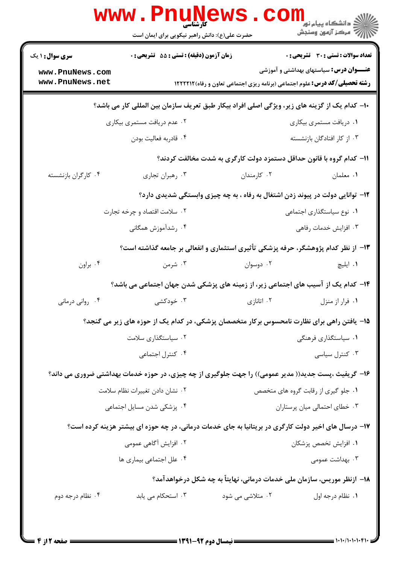|                                                                                                     | WWW.Pnung<br>حضرت علی(ع): دانش راهبر نیکویی برای ایمان است                                          |                                                                               | ڪ دانشڪاه پيام نور<br>ر <i>ا</i> ⊂ مرڪز آزمون وسنڊش                                |  |
|-----------------------------------------------------------------------------------------------------|-----------------------------------------------------------------------------------------------------|-------------------------------------------------------------------------------|------------------------------------------------------------------------------------|--|
| <b>سری سوال : ۱ یک</b>                                                                              | زمان آزمون (دقیقه) : تستی : 55 آتشریحی : 0                                                          |                                                                               | <b>تعداد سوالات : تستی : 30 - تشریحی : 0</b>                                       |  |
| www.PnuNews.com                                                                                     |                                                                                                     |                                                                               | <b>عنــــوان درس:</b> سیاستهای بهداشتی و آموزشی                                    |  |
| www.PnuNews.net                                                                                     |                                                                                                     |                                                                               | <b>رشته تحصیلی/کد درس:</b> علوم اجتماعی (برنامه ریزی اجتماعی تعاون و رفاه) ۱۲۲۲۲۱۲ |  |
| ∙ا− کدام یک از گزینه های زیر، ویژگی اصلی افراد بیکار طبق تعریف سازمان بین المللی کار می باشد؟       |                                                                                                     |                                                                               |                                                                                    |  |
|                                                                                                     | ۰۲ عدم دریافت مستمری بیکاری                                                                         |                                                                               | ۰۱ دریافت مستمری بیکاری                                                            |  |
|                                                                                                     | ۰۴ قادربه فعاليت بودن                                                                               |                                                                               | ۰۳ از کار افتادگان بازنشسته                                                        |  |
| 1۱– کدام گروه با قانون حداقل دستمزد دولت کارگری به شدت مخالفت کردند؟                                |                                                                                                     |                                                                               |                                                                                    |  |
| ۰۴ کارگران بازنشسته                                                                                 | ۰۳ رهبران تجاري                                                                                     | ۰۲ کارمندان                                                                   | ۰۱ معلمان                                                                          |  |
|                                                                                                     |                                                                                                     | ۱۲- توانایی دولت در پیوند زدن اشتغال به رفاه ، به چه چیزی وابستگی شدیدی دارد؟ |                                                                                    |  |
|                                                                                                     | ۰۲ سلامت اقتصاد و چرخه تجارت                                                                        |                                                                               | ٠١ نوع سياستگذاري اجتماعي                                                          |  |
|                                                                                                     | ۰۴ رشدآموزش همگانی                                                                                  |                                                                               | ۰۳ افزايش خدمات رفاهي                                                              |  |
|                                                                                                     | ۱۳- از نظر کدام پژوهشگر، حرفه پزشکی تأثیری استثماری و انفعالی بر جامعه گذاشته است؟                  |                                                                               |                                                                                    |  |
| ۰۴ براون                                                                                            | ۰۳ شرمن                                                                                             | ۰۲ دوسوان                                                                     | ۰۱ ايليچ                                                                           |  |
|                                                                                                     | ۱۴– کدام یک از آسیب های اجتماعی زیر، از زمینه های پزشکی شدن جهان اجتماعی می باشد؟                   |                                                                               |                                                                                    |  |
| ۰۴ رواني درماني                                                                                     | ۰۳ خودکشی                                                                                           | ۰۲ اتانازی                                                                    | ۰۱ فرار از منزل                                                                    |  |
|                                                                                                     | ۱۵– یافتن راهی برای نظارت نامحسوس برکار متخصصان پزشکی، در کدام یک از حوزه های زیر می گنجد؟          |                                                                               |                                                                                    |  |
|                                                                                                     | ۰۲ سیاستگذاری سلامت                                                                                 |                                                                               | ۰۱ سیاستگذاری فرهنگی                                                               |  |
|                                                                                                     | ۰۴ كنترل اجتماعي                                                                                    |                                                                               | ۰۳ کنترل سیاسی                                                                     |  |
|                                                                                                     | ۱۶- گریفیث ،پست جدید(( مدیر عمومی)) را جهت جلوگیری از چه چیزی، در حوزه خدمات بهداشتی ضروری می داند؟ |                                                                               |                                                                                    |  |
|                                                                                                     | ٠٢ نشان دادن تغييرات نظام سلامت                                                                     |                                                                               | ۰۱ جلو گیری از رقابت گروه های متخصص                                                |  |
|                                                                                                     | ۰۴ پزشکی شدن مسایل اجتماعی                                                                          |                                                                               | ۰۳ خطای احتمالی میان پرستاران                                                      |  |
| ۱۷- درسال های اخیر دولت کارگری در بریتانیا به جای خدمات درمانی، در چه حوزه ای بیشتر هزینه کرده است؟ |                                                                                                     |                                                                               |                                                                                    |  |
|                                                                                                     | ۰۲ افزایش آگاهی عمومی                                                                               |                                                                               | ۰۱ افزایش تخصص پزشکان                                                              |  |
|                                                                                                     | ۰۴ علل اجتماعی بیماری ها                                                                            |                                                                               | ۰۳ بهداشت عمومی                                                                    |  |
| ۱۸– ازنظر موریس، سازمان ملی خدمات درمانی، نهایتاً به چه شکل درخواهدآمد؟                             |                                                                                                     |                                                                               |                                                                                    |  |
| ۰۴ نظام درجه دوم                                                                                    | ۰۳ استحکام می یابد                                                                                  | ۰۲ متلاشی می شود                                                              | ۰۱ نظام درجه اول                                                                   |  |
|                                                                                                     |                                                                                                     |                                                                               |                                                                                    |  |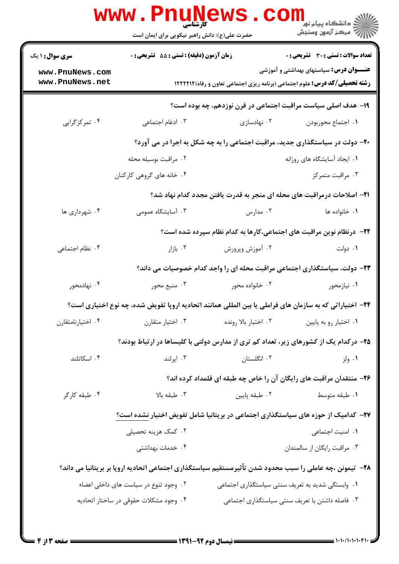|                                    | www.Pnunews<br>حضرت علی(ع): دانش راهبر نیکویی برای ایمان است |                      | دانشگاه پيام نور "<br> // مرکز آزمون وسنجش                                                                                            |
|------------------------------------|--------------------------------------------------------------|----------------------|---------------------------------------------------------------------------------------------------------------------------------------|
| <b>سری سوال : ۱ یک</b>             | زمان آزمون (دقیقه) : تستی : 55 آتشریحی : 0                   |                      | <b>تعداد سوالات : تستی : 30 ٪ تشریحی : 0</b>                                                                                          |
| www.PnuNews.com<br>www.PnuNews.net |                                                              |                      | <b>عنــــوان درس:</b> سیاستهای بهداشتی و آموزشی<br><b>رشته تحصیلی/کد درس:</b> علوم اجتماعی (برنامه ریزی اجتماعی تعاون و رفاه) ۱۲۲۲۲۱۲ |
|                                    |                                                              |                      | ۱۹- هدف اصلی سیاست مراقبت اجتماعی در قرن نوزدهم، چه بوده است؟                                                                         |
| ۰۴ تمرکزگرایی                      | ۰۳ ادغام اجتماعی                                             | ۰۲ نهادسازی          | ٠١. اجتماع محوربودن                                                                                                                   |
|                                    |                                                              |                      | +۲- دولت در سیاستگذاری جدید، مراقبت اجتماعی را به چه شکل به اجرا در می آورد؟                                                          |
|                                    | ۰۲ مراقبت بوسیله محله                                        |                      | ٠١. ايجاد آسايشگاه هاي روزانه                                                                                                         |
|                                    | ۰۴ خانه های گروهی کارکنان                                    |                      | ۰۳ مراقبت متمرکز                                                                                                                      |
|                                    |                                                              |                      | <b>۲۱</b> – اصلاحات درمراقبت های محله ای منجر به قدرت یافتن مجدد کدام نهاد شد؟                                                        |
| ۰۴ شهرداری ها                      | ۰۳ آسایشگاه عمومی                                            | ۰۲ مدارس             | ۰۱ خانواده ها                                                                                                                         |
|                                    |                                                              |                      | ۲۲– درنظام نوین مراقبت های اجتماعی،کارها به کدام نظام سپرده شده است؟                                                                  |
| ۰۴ نظام اجتماعی                    | ۰۳ بازار                                                     | ۰۲ آموزش وپرورش      | ۰۱ دولت                                                                                                                               |
|                                    |                                                              |                      | ۲۳- دولت، سیاستگذاری اجتماعی مراقبت محله ای را واجد کدام خصوصیات می داند؟                                                             |
| ۰۴ نهادمحور                        | ۰۳ منبع محور                                                 | ۰۲ خانواده محور      | ۰۱ نیازمحور                                                                                                                           |
|                                    |                                                              |                      | ۲۴– اختیاراتی که به سازمان های فراملی یا بین المللی همانند اتحادیه اروپا تفویض شده، چه نوع اختیاری است؟                               |
| ۰۴ اختيارنامتقارن                  | ۰۳ اختیار متقارن                                             | ٠٢ اختيار بالا رونده | ٠١. اختيار رو به پايين                                                                                                                |
|                                    |                                                              |                      | ۲۵– درکدام یک از کشورهای زیر، تعداد کم تری از مدارس دولتی با کلیساها در ارتباط بودند؟                                                 |
| ۰۴ اسکاتلند                        | ۰۳ ایرلند                                                    | ۰۲ انگلستان          | ۰۱ ولز                                                                                                                                |
|                                    |                                                              |                      | ۲۶- منتقدان مراقبت های رایگان آن را خاص چه طبقه ای قلمداد کرده اند؟                                                                   |
| ۰۴ طبقه کارگر                      | ۰۳ طبقه بالا                                                 | ۰۲ طبقه پایین        | ۰۱ طبقه متوسط                                                                                                                         |
|                                    |                                                              |                      | ۲۷– کدامیک از حوزه های سیاستگذاری اجتماعی در بریتانیا شامل تفویض اختیار نشده است؟                                                     |
|                                    | ۰۲ کمک هزینه تحصیلی                                          |                      | ٠١. امنيت اجتماعي                                                                                                                     |
|                                    | ۰۴ خدمات بهداشتی                                             |                      | ۰۳ مراقبت رايگان از سالمندان                                                                                                          |
|                                    |                                                              |                      | ۲۸– تیمونن ،چه عاملی را سبب محدود شدن تأثیرمستقیم سیاستگذاری اجتماعی اتحادیه اروپا بر بریتانیا می داند؟                               |
|                                    | ۰۲ وجود تنوع در سیاست های داخلی اعضاء                        |                      | ۰۱ وابستگی شدید به تعریف سنتی سیاستگذاری اجتماعی                                                                                      |
|                                    | ۰۴ وجود مشكلات حقوقى در ساختار اتحاديه                       |                      | ۰۳ فاصله داشتن با تعریف سنتی سیاستگذاری اجتماعی                                                                                       |